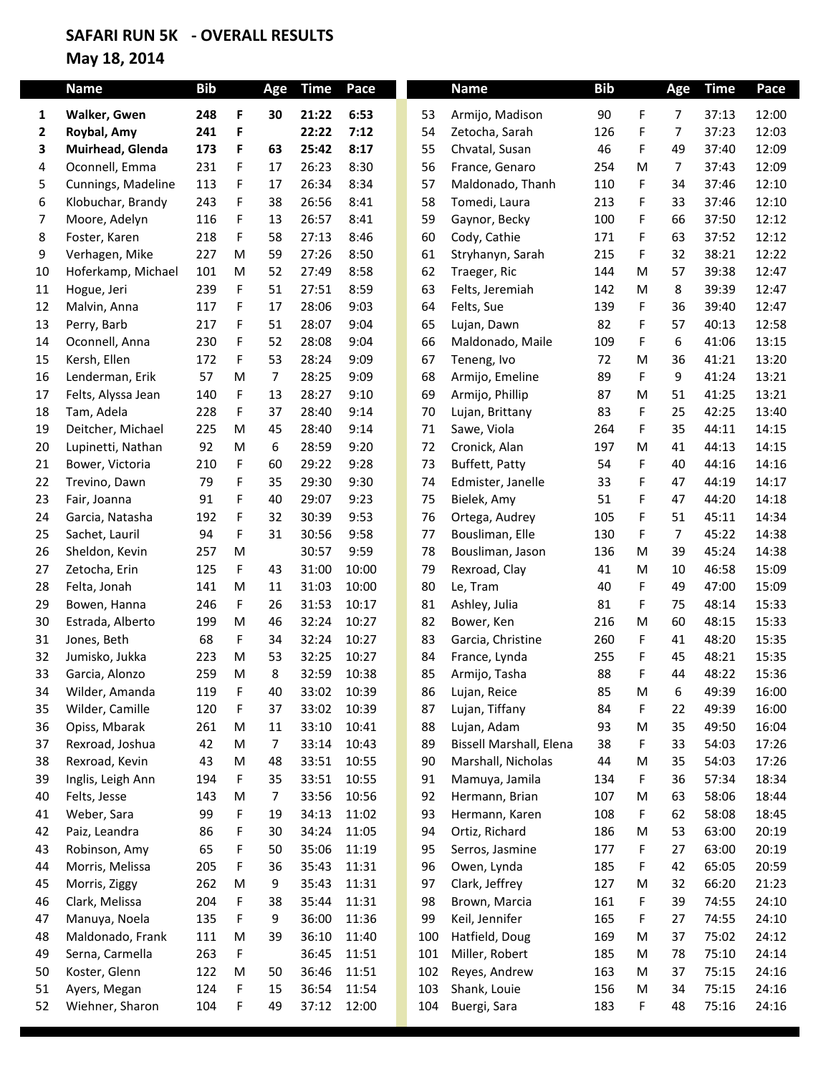## **SAFARI RUN 5K - OVERALL RESULTS**

## **May 18, 2014**

|    | <b>Name</b>        | <b>Bib</b> |    | Age            | <b>Time</b> | Pace  |     | <b>Name</b>             | <b>Bib</b> |   | Age            | <b>Time</b> | Pace  |
|----|--------------------|------------|----|----------------|-------------|-------|-----|-------------------------|------------|---|----------------|-------------|-------|
| 1  | Walker, Gwen       | 248        | F  | 30             | 21:22       | 6:53  | 53  | Armijo, Madison         | 90         | F | 7              | 37:13       | 12:00 |
| 2  | Roybal, Amy        | 241        | F  |                | 22:22       | 7:12  | 54  | Zetocha, Sarah          | 126        | F | $\overline{7}$ | 37:23       | 12:03 |
| 3  | Muirhead, Glenda   | 173        | F  | 63             | 25:42       | 8:17  | 55  | Chvatal, Susan          | 46         | F | 49             | 37:40       | 12:09 |
| 4  | Oconnell, Emma     | 231        | F  | 17             | 26:23       | 8:30  | 56  | France, Genaro          | 254        | M | 7              | 37:43       | 12:09 |
| 5  | Cunnings, Madeline | 113        | F  | 17             | 26:34       | 8:34  | 57  | Maldonado, Thanh        | 110        | F | 34             | 37:46       | 12:10 |
| 6  | Klobuchar, Brandy  | 243        | F  | 38             | 26:56       | 8:41  | 58  | Tomedi, Laura           | 213        | F | 33             | 37:46       | 12:10 |
| 7  | Moore, Adelyn      | 116        | F  | 13             | 26:57       | 8:41  | 59  | Gaynor, Becky           | 100        | F | 66             | 37:50       | 12:12 |
| 8  | Foster, Karen      | 218        | F. | 58             | 27:13       | 8:46  | 60  | Cody, Cathie            | 171        | F | 63             | 37:52       | 12:12 |
| 9  | Verhagen, Mike     | 227        | M  | 59             | 27:26       | 8:50  | 61  | Stryhanyn, Sarah        | 215        | F | 32             | 38:21       | 12:22 |
| 10 | Hoferkamp, Michael | 101        | M  | 52             | 27:49       | 8:58  | 62  | Traeger, Ric            | 144        | M | 57             | 39:38       | 12:47 |
| 11 | Hogue, Jeri        | 239        | F  | 51             | 27:51       | 8:59  | 63  | Felts, Jeremiah         | 142        | M | 8              | 39:39       | 12:47 |
| 12 | Malvin, Anna       | 117        | F  | 17             | 28:06       | 9:03  | 64  | Felts, Sue              | 139        | F | 36             | 39:40       | 12:47 |
| 13 | Perry, Barb        | 217        | F  | 51             | 28:07       | 9:04  | 65  | Lujan, Dawn             | 82         | F | 57             | 40:13       | 12:58 |
| 14 | Oconnell, Anna     | 230        | F  | 52             | 28:08       | 9:04  | 66  | Maldonado, Maile        | 109        | F | 6              | 41:06       | 13:15 |
| 15 | Kersh, Ellen       | 172        | F. | 53             | 28:24       | 9:09  | 67  | Teneng, Ivo             | 72         | M | 36             | 41:21       | 13:20 |
| 16 | Lenderman, Erik    | 57         | M  | $\overline{7}$ | 28:25       | 9:09  | 68  | Armijo, Emeline         | 89         | F | 9              | 41:24       | 13:21 |
| 17 | Felts, Alyssa Jean | 140        | F  | 13             | 28:27       | 9:10  | 69  | Armijo, Phillip         | 87         | M | 51             | 41:25       | 13:21 |
| 18 | Tam, Adela         | 228        | F  | 37             | 28:40       | 9:14  | 70  | Lujan, Brittany         | 83         | F | 25             | 42:25       | 13:40 |
| 19 | Deitcher, Michael  | 225        | M  | 45             | 28:40       | 9:14  | 71  | Sawe, Viola             | 264        | F | 35             | 44:11       | 14:15 |
| 20 | Lupinetti, Nathan  | 92         | M  | 6              | 28:59       | 9:20  | 72  | Cronick, Alan           | 197        | M | 41             | 44:13       | 14:15 |
| 21 | Bower, Victoria    | 210        | F  | 60             | 29:22       | 9:28  | 73  | Buffett, Patty          | 54         | F | 40             | 44:16       | 14:16 |
| 22 | Trevino, Dawn      | 79         | F  | 35             | 29:30       | 9:30  | 74  | Edmister, Janelle       | 33         | F | 47             | 44:19       | 14:17 |
| 23 | Fair, Joanna       | 91         | F  | 40             | 29:07       | 9:23  | 75  | Bielek, Amy             | 51         | F | 47             | 44:20       | 14:18 |
| 24 | Garcia, Natasha    | 192        | F  | 32             | 30:39       | 9:53  | 76  | Ortega, Audrey          | 105        | F | 51             | 45:11       | 14:34 |
| 25 | Sachet, Lauril     | 94         | F  | 31             | 30:56       | 9:58  | 77  | Bousliman, Elle         | 130        | F | $\overline{7}$ | 45:22       | 14:38 |
| 26 | Sheldon, Kevin     | 257        | M  |                | 30:57       | 9:59  | 78  | Bousliman, Jason        | 136        | M | 39             | 45:24       | 14:38 |
| 27 | Zetocha, Erin      | 125        | F  | 43             | 31:00       | 10:00 | 79  | Rexroad, Clay           | 41         | M | 10             | 46:58       | 15:09 |
| 28 | Felta, Jonah       | 141        | M  | 11             | 31:03       | 10:00 | 80  | Le, Tram                | 40         | F | 49             | 47:00       | 15:09 |
| 29 | Bowen, Hanna       | 246        | F  | 26             | 31:53       | 10:17 | 81  | Ashley, Julia           | 81         | F | 75             | 48:14       | 15:33 |
| 30 | Estrada, Alberto   | 199        | M  | 46             | 32:24       | 10:27 | 82  | Bower, Ken              | 216        | M | 60             | 48:15       | 15:33 |
| 31 | Jones, Beth        | 68         | F  | 34             | 32:24       | 10:27 | 83  | Garcia, Christine       | 260        | F | 41             | 48:20       | 15:35 |
| 32 | Jumisko, Jukka     | 223        | M  | 53             | 32:25       | 10:27 | 84  | France, Lynda           | 255        | F | 45             | 48:21       | 15:35 |
| 33 | Garcia, Alonzo     | 259        | M  | 8              | 32:59       | 10:38 | 85  | Armijo, Tasha           | 88         | F | 44             | 48:22       | 15:36 |
| 34 | Wilder, Amanda     | 119        | F  | 40             | 33:02       | 10:39 | 86  | Lujan, Reice            | 85         | M | 6              | 49:39       | 16:00 |
| 35 | Wilder, Camille    | 120        | F  | 37             | 33:02       | 10:39 | 87  | Lujan, Tiffany          | 84         | F | 22             | 49:39       | 16:00 |
| 36 | Opiss, Mbarak      | 261        | M  | $11\,$         | 33:10       | 10:41 | 88  | Lujan, Adam             | 93         | M | 35             | 49:50       | 16:04 |
| 37 | Rexroad, Joshua    | 42         | M  | $\overline{7}$ | 33:14       | 10:43 | 89  | Bissell Marshall, Elena | 38         | F | 33             | 54:03       | 17:26 |
| 38 | Rexroad, Kevin     | 43         | M  | 48             | 33:51       | 10:55 | 90  | Marshall, Nicholas      | 44         | M | 35             | 54:03       | 17:26 |
| 39 | Inglis, Leigh Ann  | 194        | F  | 35             | 33:51       | 10:55 | 91  | Mamuya, Jamila          | 134        | F | 36             | 57:34       | 18:34 |
| 40 | Felts, Jesse       | 143        | M  | 7              | 33:56       | 10:56 | 92  | Hermann, Brian          | 107        | M | 63             | 58:06       | 18:44 |
| 41 | Weber, Sara        | 99         | F  | 19             | 34:13       | 11:02 | 93  | Hermann, Karen          | 108        | F | 62             | 58:08       | 18:45 |
| 42 | Paiz, Leandra      | 86         | F  | 30             | 34:24       | 11:05 | 94  | Ortiz, Richard          | 186        | M | 53             | 63:00       | 20:19 |
| 43 | Robinson, Amy      | 65         | F  | 50             | 35:06       | 11:19 | 95  | Serros, Jasmine         | 177        | F | 27             | 63:00       | 20:19 |
| 44 | Morris, Melissa    | 205        | F  | 36             | 35:43       | 11:31 | 96  | Owen, Lynda             | 185        | F | 42             | 65:05       | 20:59 |
| 45 | Morris, Ziggy      | 262        | M  | 9              | 35:43       | 11:31 | 97  | Clark, Jeffrey          | 127        | M | 32             | 66:20       | 21:23 |
| 46 | Clark, Melissa     | 204        | F  | 38             | 35:44       | 11:31 | 98  | Brown, Marcia           | 161        | F | 39             | 74:55       | 24:10 |
| 47 | Manuya, Noela      | 135        | F  | 9              | 36:00       | 11:36 | 99  | Keil, Jennifer          | 165        | F | 27             | 74:55       | 24:10 |
| 48 | Maldonado, Frank   | 111        | M  | 39             | 36:10       | 11:40 | 100 | Hatfield, Doug          | 169        | M | 37             | 75:02       | 24:12 |
| 49 | Serna, Carmella    | 263        | F  |                | 36:45       | 11:51 | 101 | Miller, Robert          | 185        | M | 78             | 75:10       | 24:14 |
| 50 | Koster, Glenn      | 122        | M  | 50             | 36:46       | 11:51 | 102 | Reyes, Andrew           | 163        | M | 37             | 75:15       | 24:16 |
| 51 | Ayers, Megan       | 124        | F  | 15             | 36:54       | 11:54 | 103 | Shank, Louie            | 156        | M | 34             | 75:15       | 24:16 |
| 52 | Wiehner, Sharon    | 104        | F  | 49             | 37:12       | 12:00 | 104 | Buergi, Sara            | 183        | F | 48             | 75:16       | 24:16 |